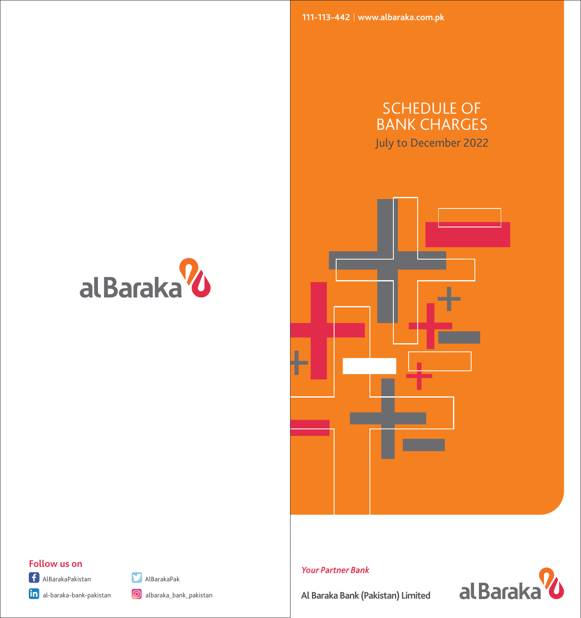**111-113-442 www.albaraka.com.pk**

# SCHEDULE OF BANK CHARGES July to December 2022







# **Follow us on**









al Baraka<sup>2</sup>



**Al Baraka Bank (Pakistan) Limited**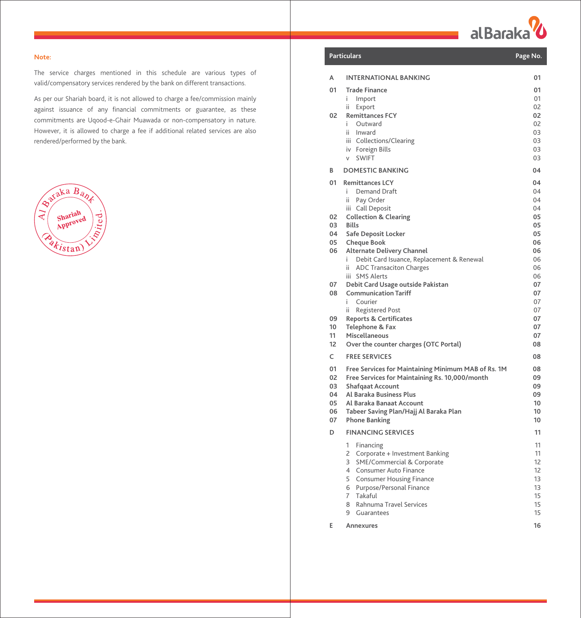al Baraka<sup>V</sup>

#### **Note:**

The service charges mentioned in this schedule are various types of valid/compensatory services rendered by the bank on different transactions.

As per our Shariah board, it is not allowed to charge a fee/commission mainly against issuance of any financial commitments or guarantee, as these commitments are Uqood-e-Ghair Muawada or non-compensatory in nature. However, it is allowed to charge a fee if additional related services are also rendered/performed by the bank.



|          | Particulars                                                                                                                                                                               | Page No.                                           |
|----------|-------------------------------------------------------------------------------------------------------------------------------------------------------------------------------------------|----------------------------------------------------|
| A        | <b>INTERNATIONAL BANKING</b>                                                                                                                                                              | 01                                                 |
| 01<br>02 | <b>Trade Finance</b><br>i.<br>Import<br>ii.<br>Export<br><b>Remittances FCY</b><br>Outward<br>i.<br>ii.<br>Inward<br>iii Collections/Clearing<br>Foreign Bills<br>iv<br><b>SWIFT</b><br>V | 01<br>01<br>02<br>02<br>02<br>03<br>03<br>03<br>03 |
| В        | <b>DOMESTIC BANKING</b>                                                                                                                                                                   | 04                                                 |
| 01       | <b>Remittances LCY</b><br>i.<br><b>Demand Draft</b><br>ii.<br>Pay Order<br>iii Call Deposit                                                                                               | 04<br>04<br>04<br>04                               |
| 02<br>03 | <b>Collection &amp; Clearing</b><br><b>Bills</b>                                                                                                                                          | 05<br>05                                           |
| 04       | Safe Deposit Locker                                                                                                                                                                       | 05                                                 |
| 05<br>06 | <b>Cheque Book</b><br><b>Alternate Delivery Channel</b>                                                                                                                                   | 06<br>06                                           |
|          | Debit Card Isuance, Replacement & Renewal<br>i.                                                                                                                                           | 06                                                 |
|          | <b>ADC Transaciton Charges</b><br>ii.<br><b>SMS Alerts</b><br>iii                                                                                                                         | 06<br>06                                           |
| 07       | Debit Card Usage outside Pakistan                                                                                                                                                         | 07                                                 |
| 08       | <b>Communication Tariff</b>                                                                                                                                                               | 07                                                 |
|          | Courier<br>i.<br><b>Registered Post</b><br>ii.                                                                                                                                            | 07<br>07                                           |
| 09       | <b>Reports &amp; Certificates</b>                                                                                                                                                         | 07                                                 |
| 10<br>11 | Telephone & Fax<br>Miscellaneous                                                                                                                                                          | 07<br>07                                           |
| 12       | Over the counter charges (OTC Portal)                                                                                                                                                     | 08                                                 |
| C        | <b>FREE SERVICES</b>                                                                                                                                                                      | 08                                                 |
| 01<br>02 | Free Services for Maintaining Minimum MAB of Rs. 1M                                                                                                                                       | 08<br>09                                           |
| 03       | Free Services for Maintaining Rs. 10,000/month<br><b>Shafqaat Account</b>                                                                                                                 | 09                                                 |
| 04       | Al Baraka Business Plus                                                                                                                                                                   | 09                                                 |
| 05<br>06 | Al Baraka Banaat Account<br>Tabeer Saving Plan/Hajj Al Baraka Plan                                                                                                                        | 10<br>10                                           |
| 07       | <b>Phone Banking</b>                                                                                                                                                                      | 10                                                 |
| D        | <b>FINANCING SERVICES</b>                                                                                                                                                                 | 11                                                 |
|          | 1<br>Financing<br>2<br>Corporate + Investment Banking                                                                                                                                     | 11<br>11                                           |
|          | 3<br>SME/Commercial & Corporate                                                                                                                                                           | 12                                                 |
|          | Consumer Auto Finance<br>4<br>5<br><b>Consumer Housing Finance</b>                                                                                                                        | 12<br>13                                           |
|          | Purpose/Personal Finance<br>6                                                                                                                                                             | 13                                                 |
|          | 7<br>Takaful                                                                                                                                                                              | 15                                                 |
|          | 8<br>Rahnuma Travel Services<br>9<br>Guarantees                                                                                                                                           | 15<br>15                                           |
| E        | Annexures                                                                                                                                                                                 | 16                                                 |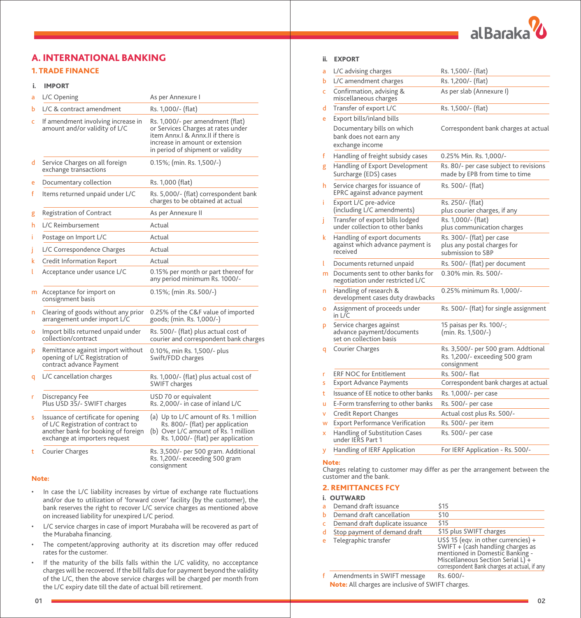

# A. INTERNATIONAL BANKING

# 1. TRADE FINANCE

## i. IMPORT

| a | L/C Opening                                                                                                                                       | As per Annexure I                                                                                                                                                                    |
|---|---------------------------------------------------------------------------------------------------------------------------------------------------|--------------------------------------------------------------------------------------------------------------------------------------------------------------------------------------|
| ь | L/C & contract amendment                                                                                                                          | Rs. 1,000/- (flat)                                                                                                                                                                   |
| c | If amendment involving increase in<br>amount and/or validity of L/C                                                                               | Rs. 1,000/- per amendment (flat)<br>or Services Charges at rates under<br>item Annx.I & Annx.II if there is<br>increase in amount or extension.<br>in period of shipment or validity |
| d | Service Charges on all foreign<br>exchange transactions                                                                                           | 0.15%; (min. Rs. 1,500/-)                                                                                                                                                            |
| e | Documentary collection                                                                                                                            | Rs. 1,000 (flat)                                                                                                                                                                     |
| f | Items returned unpaid under L/C                                                                                                                   | Rs. 5,000/- (flat) correspondent bank<br>charges to be obtained at actual                                                                                                            |
| g | <b>Registration of Contract</b>                                                                                                                   | As per Annexure II                                                                                                                                                                   |
| h | L/C Reimbursement                                                                                                                                 | Actual                                                                                                                                                                               |
| Ť | Postage on Import L/C                                                                                                                             | Actual                                                                                                                                                                               |
|   | L/C Correspondence Charges                                                                                                                        | Actual                                                                                                                                                                               |
| k | Credit Information Report                                                                                                                         | Actual                                                                                                                                                                               |
|   | Acceptance under usance L/C                                                                                                                       | 0.15% per month or part thereof for<br>any period minimum Rs. 1000/-                                                                                                                 |
| m | Acceptance for import on<br>consignment basis                                                                                                     | 0.15%; (min .Rs. 500/-)                                                                                                                                                              |
| n | Clearing of goods without any prior<br>arrangement under import L/C                                                                               | 0.25% of the C&F value of imported<br>goods; (min. Rs. 1,000/-)                                                                                                                      |
| o | Import bills returned unpaid under<br>collection/contract                                                                                         | Rs. 500/- (flat) plus actual cost of<br>courier and correspondent bank charges                                                                                                       |
| p | Remittance against import without<br>opening of L/C Registration of<br>contract advance Payment                                                   | 0.10%, min Rs. 1,500/- plus<br>Swift/FDD charges                                                                                                                                     |
| q | L/C cancellation charges                                                                                                                          | Rs. 1,000/- (flat) plus actual cost of<br><b>SWIFT charges</b>                                                                                                                       |
| r | Discrepancy Fee<br>Plus USD 35/- SWIFT charges                                                                                                    | USD 70 or equivalent<br>Rs. 2,000/- in case of inland L/C                                                                                                                            |
| s | Issuance of certificate for opening<br>of L/C Registration of contract to<br>another bank for booking of foreign<br>exchange at importers request | (a) Up to L/C amount of Rs. 1 million<br>Rs. 800/- (flat) per application<br>(b) Over L/C amount of Rs. 1 million<br>Rs. 1,000/- (flat) per application                              |
| t | <b>Courier Charges</b>                                                                                                                            | Rs. 3,500/- per 500 gram. Additional<br>Rs. 1,200/- exceeding 500 gram<br>consignment                                                                                                |

#### Note:

- In case the L/C liability increases by virtue of exchange rate fluctuations and/or due to utilization of 'forward cover' facility (by the customer), the bank reserves the right to recover L/C service charges as mentioned above on increased liability for unexpired L/C period.
- L/C service charges in case of import Murabaha will be recovered as part of the Murabaha financing.
- The competent/approving authority at its discretion may offer reduced rates for the customer.
- If the maturity of the bills falls within the L/C validity, no accceptance charges will be recovered. If the bill falls due for payment beyond the validity of the L/C, then the above service charges will be charged per month from the L/C expiry date till the date of actual bill retirement.

## ii. EXPORT

| a       | L/C advising charges                                                            | Rs. 1,500/- (flat)                                                                   |
|---------|---------------------------------------------------------------------------------|--------------------------------------------------------------------------------------|
| ь       | L/C amendment charges                                                           | Rs. 1,200/- (flat)                                                                   |
| Ċ       | Confirmation, advising &<br>miscellaneous charges                               | As per slab (Annexure I)                                                             |
| d       | Transfer of export L/C                                                          | Rs. 1,500/- (flat)                                                                   |
| e       | Export bills/inland bills                                                       |                                                                                      |
|         | Documentary bills on which<br>bank does not earn any<br>exchange income         | Correspondent bank charges at actual                                                 |
| f       | Handling of freight subsidy cases                                               | 0.25% Min. Rs. 1,000/-                                                               |
| g       | Handling of Export Development<br>Surcharge (EDS) cases                         | Rs. 80/- per case subject to revisions<br>made by EPB from time to time              |
| h       | Service charges for issuance of<br>EPRC against advance payment                 | Rs. 500/- (flat)                                                                     |
| î.      | Export L/C pre-advice<br>(including L/C amendments)                             | Rs. 250/- (flat)<br>plus courier charges, if any                                     |
| Ť       | Transfer of export bills lodged<br>under collection to other banks              | Rs. 1,000/- (flat)<br>plus communication charges                                     |
| k       | Handling of export documents<br>against which advance payment is<br>received    | Rs. 300/- (flat) per case<br>plus any postal charges for<br>submission to SBP        |
| L       | Documents returned unpaid                                                       | Rs. 500/- (flat) per document                                                        |
| m       | Documents sent to other banks for<br>negotiation under restricted L/C           | 0.30% min. Rs. 500/-                                                                 |
| n       | Handling of research &<br>development cases duty drawbacks                      | 0.25% minimum Rs. 1,000/-                                                            |
| $\circ$ | Assignment of proceeds under<br>in L/C                                          | Rs. 500/- (flat) for single assignment                                               |
| p       | Service charges against<br>advance payment/documents<br>set on collection basis | 15 paisas per Rs. 100/-;<br>(min. Rs. 1,500/-)                                       |
| q       | Courier Charges                                                                 | Rs. 3,500/- per 500 gram. Addtional<br>Rs. 1,200/- exceeding 500 gram<br>consignment |
| r       | <b>ERF NOC for Entitlement</b>                                                  | Rs. 500/- flat                                                                       |
| s       | <b>Export Advance Payments</b>                                                  | Correspondent bank charges at actual                                                 |
| t       | Issuance of EE notice to other banks                                            | Rs. 1,000/- per case                                                                 |
| u       | E-Form transferring to other banks                                              | Rs. 500/- per case                                                                   |
| v       | <b>Credit Report Changes</b>                                                    | Actual cost plus Rs. 500/-                                                           |
| W       | <b>Export Performance Verification</b>                                          | Rs. 500/- per item                                                                   |
| ×       | Handling of Substitution Cases<br>under IERS Part 1                             | Rs. 500/- per case                                                                   |
| у       | Handling of IERF Application                                                    | For IERF Application - Rs. 500/-                                                     |

#### Note:

Charges relating to customer may differ as per the arrangement between the customer and the bank.

#### 2. REMITTANCES FCY

| Demand draft issuance           | \$15                                                                                                                                                                                              |
|---------------------------------|---------------------------------------------------------------------------------------------------------------------------------------------------------------------------------------------------|
| Demand draft cancellation       | \$10                                                                                                                                                                                              |
| Demand draft duplicate issuance | \$15                                                                                                                                                                                              |
| Stop payment of demand draft    | \$15 plus SWIFT charges                                                                                                                                                                           |
| Telegraphic transfer            | US\$ 15 (eqv. in other currencies) +<br>SWIFT + (cash handling charges as<br>mentioned in Domestic Banking -<br>Miscellaneous Section Serial L) +<br>correspondent Bank charges at actual, if any |
|                                 |                                                                                                                                                                                                   |

Note: All charges are inclusive of SWIFT charges. f Amendments in SWIFT message Rs. 600/-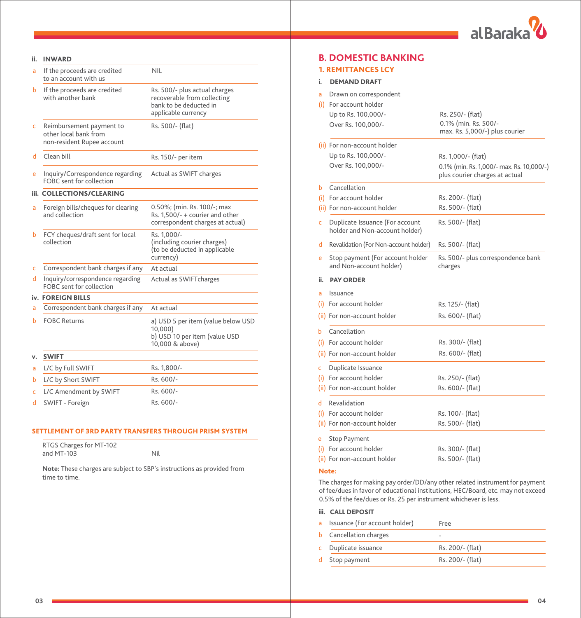

| a  | If the proceeds are credited<br>to an account with us                           | <b>NIL</b>                                                                                                    |
|----|---------------------------------------------------------------------------------|---------------------------------------------------------------------------------------------------------------|
| ь  | If the proceeds are credited<br>with another bank                               | Rs. 500/- plus actual charges<br>recoverable from collecting<br>bank to be deducted in<br>applicable currency |
| c  | Reimbursement payment to<br>other local bank from<br>non-resident Rupee account | Rs. 500/- (flat)                                                                                              |
| d  | Clean bill                                                                      | Rs. 150/- per item                                                                                            |
| e  | Inquiry/Correspondence regarding<br>FOBC sent for collection                    | Actual as SWIFT charges                                                                                       |
|    | <b>iii. COLLECTIONS/CLEARING</b>                                                |                                                                                                               |
| a  | Foreign bills/cheques for clearing<br>and collection                            | 0.50%; (min. Rs. 100/-; max<br>Rs. 1,500/- + courier and other<br>correspondent charges at actual)            |
| ь  | FCY cheques/draft sent for local<br>collection                                  | Rs. 1,000/-<br>(including courier charges)<br>(to be deducted in applicable<br>currency)                      |
| c  | Correspondent bank charges if any                                               | At actual                                                                                                     |
| d  | Inquiry/correspondence regarding<br>FOBC sent for collection                    | Actual as SWIFTcharges                                                                                        |
|    | iv. FOREIGN BILLS                                                               |                                                                                                               |
| a  | Correspondent bank charges if any                                               | At actual                                                                                                     |
| ь  | <b>FOBC Returns</b>                                                             | a) USD 5 per item (value below USD<br>10,000<br>b) USD 10 per item (value USD<br>10,000 & above)              |
| v. | <b>SWIFT</b>                                                                    |                                                                                                               |
| a  | L/C by Full SWIFT                                                               | Rs. 1,800/-                                                                                                   |
| ь  | L/C by Short SWIFT                                                              | Rs. 600/-                                                                                                     |
| c  | L/C Amendment by SWIFT                                                          | Rs. 600/-                                                                                                     |
| d  | SWIFT - Foreign                                                                 | Rs. 600/-                                                                                                     |
|    |                                                                                 |                                                                                                               |

## SETTLEMENT OF 3RD PARTY TRANSFERS THROUGH PRISM SYSTEM

| RTGS Charges for MT-102 |  |
|-------------------------|--|
| and MT-103              |  |

**Note:** These charges are subject to SBP's instructions as provided from time to time.

# **B. DOMESTIC BANKING**

# 1. REMITTANCES LCY

# i. DEMAND DRAFT

| a   | Drawn on correspondent                                            |                                                                             |
|-----|-------------------------------------------------------------------|-----------------------------------------------------------------------------|
|     | (i) For account holder                                            |                                                                             |
|     | Up to Rs. 100,000/-                                               | Rs. 250/- (flat)                                                            |
|     | Over Rs. 100,000/-                                                | 0.1% (min. Rs. 500/-<br>max. Rs. 5,000/-) plus courier                      |
|     | (ii) For non-account holder                                       |                                                                             |
|     | Up to Rs. 100,000/-                                               | Rs. 1,000/- (flat)                                                          |
|     | Over Rs. 100,000/-                                                | 0.1% (min. Rs. 1,000/- max. Rs. 10,000/-)<br>plus courier charges at actual |
| Ь   | Cancellation                                                      |                                                                             |
|     | (i) For account holder                                            | Rs. 200/- (flat)                                                            |
|     | (ii) For non-account holder                                       | Rs. 500/- (flat)                                                            |
| Ċ   | Duplicate Issuance (For account<br>holder and Non-account holder) | Rs. 500/- (flat)                                                            |
| d   | Revalidation (For Non-account holder)                             | Rs. 500/- (flat)                                                            |
| e   | Stop payment (For account holder<br>and Non-account holder)       | Rs. 500/- plus correspondence bank<br>charges                               |
| ii. | <b>PAY ORDER</b>                                                  |                                                                             |
| a   | Issuance                                                          |                                                                             |
|     | (i) For account holder                                            | Rs. 125/- (flat)                                                            |
|     | (ii) For non-account holder                                       | Rs. 600/- (flat)                                                            |
| Ь   | Cancellation                                                      |                                                                             |
|     | (i) For account holder                                            | Rs. 300/- (flat)                                                            |
|     | (ii) For non-account holder                                       | Rs. 600/- (flat)                                                            |
| c   | Duplicate Issuance                                                |                                                                             |
|     | (i) For account holder                                            | Rs. 250/- (flat)                                                            |
|     | (ii) For non-account holder                                       | Rs. 600/- (flat)                                                            |
| d.  | Revalidation                                                      |                                                                             |
|     | (i) For account holder                                            | Rs. 100/- (flat)                                                            |
|     | (ii) For non-account holder                                       | Rs. 500/- (flat)                                                            |
| e   | <b>Stop Payment</b>                                               |                                                                             |
|     | (i) For account holder                                            | Rs. 300/- (flat)                                                            |
|     | (ii) For non-account holder                                       | Rs. 500/- (flat)                                                            |

## Note:

The charges for making pay order/DD/any other related instrument for payment of fee/dues in favor of educational institutions, HEC/Board, etc. may not exceed 0.5% of the fee/dues or Rs. 25 per instrument whichever is less.

## iii. CALL DEPOSIT

| a. | Issuance (For account holder) | Free                     |
|----|-------------------------------|--------------------------|
| b. | Cancellation charges          | $\overline{\phantom{a}}$ |
|    | c Duplicate issuance          | Rs. 200/- (flat)         |
|    | d Stop payment                | Rs. 200/- (flat)         |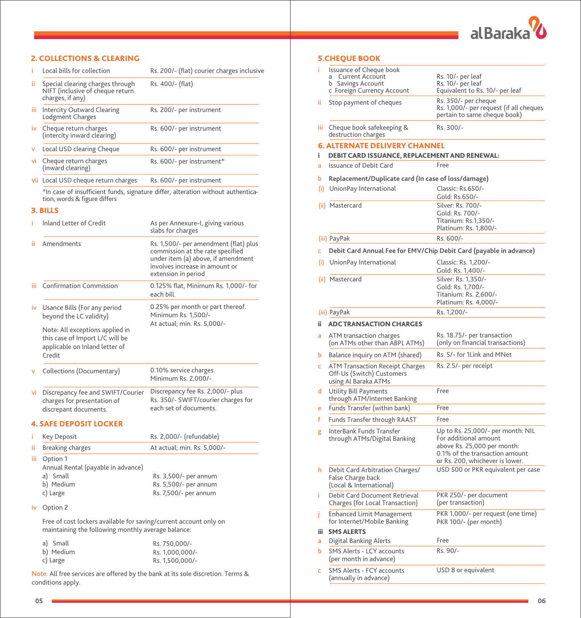

|      | <b>2. COLLECTIONS &amp; CLEARING</b>                                                                                    |                                                                                                                                                                          |
|------|-------------------------------------------------------------------------------------------------------------------------|--------------------------------------------------------------------------------------------------------------------------------------------------------------------------|
| î.   | Local bills for collection                                                                                              | Rs. 200/- (flat) courier charges inclusive                                                                                                                               |
| ii.  | Special clearing charges through<br>NIFT (inclusive of cheque return<br>charges, if any)                                | Rs. 400/- (flat)                                                                                                                                                         |
| ш    | <b>Intercity Outward Clearing</b><br>Lodgment Charges                                                                   | Rs. 200/- per instrument                                                                                                                                                 |
| iv   | Cheque return charges<br>(intercity inward clearing)                                                                    | Rs. 600/- per instrument                                                                                                                                                 |
| v    | Local USD clearing Cheque                                                                                               | Rs. 600/- per instrument                                                                                                                                                 |
| vi - | Cheque return charges<br>(inward clearing)                                                                              | Rs. 600/- per instrument*                                                                                                                                                |
|      | vii Local USD cheque return charges                                                                                     | Rs. 600/- per instrument                                                                                                                                                 |
|      | tion, words & figure differs                                                                                            | *In case of insufficient funds, signature differ, alteration without authentica-                                                                                         |
|      | 3. BILLS                                                                                                                |                                                                                                                                                                          |
| ĩ    | Inland Letter of Credit                                                                                                 | As per Annexure-I, giving various<br>slabs for charges                                                                                                                   |
| ïi   | Amendments                                                                                                              | Rs. 1,500/- per amendment (flat) plus<br>commission at the rate specified<br>under item (a) above, if amendment<br>involves increase in amount or<br>extension in period |
| iii. | <b>Confirmation Commission</b>                                                                                          | 0.125% flat, Minimum Rs. 1,000/- for<br>each bill.                                                                                                                       |
| iv   | Usance Bills (For any period<br>beyond the LC validity)                                                                 | 0.25% per month or part thereof.<br>Minimum Rs. 1,500/-<br>At actual; min. Rs. 5,000/-                                                                                   |
|      | Note: All exceptions applied in<br>this case of Import L/C will be<br>applicable on Inland letter of<br>Credit          |                                                                                                                                                                          |
|      | Collections (Documentary)                                                                                               | 0.10% service charges.<br>Minimum Rs. 2,000/-                                                                                                                            |
|      | vi Discrepancy fee and SWIFT/Courier<br>charges for presentation of<br>discrepant documents.                            | Discrepancy fee Rs. 2,000/- plus<br>Rs. 350/- SWIFT/courier charges for<br>each set of documents.                                                                        |
|      | <b>4. SAFE DEPOSIT LOCKER</b>                                                                                           |                                                                                                                                                                          |
| i.   | Key Deposit                                                                                                             | Rs. 2,000/- (refundable)                                                                                                                                                 |
| ii.  | <b>Breaking charges</b>                                                                                                 | At actual; min. Rs. 5,000/-                                                                                                                                              |
|      | iii Option 1<br>Annual Rental (payable in advance)<br>a) Small<br>b) Medium<br>c) Large                                 | Rs. 3,500/- per annum<br>Rs. 5,500/- per annum<br>Rs. 7,500/- per annum                                                                                                  |
|      | iv Option 2                                                                                                             |                                                                                                                                                                          |
|      | Free of cost lockers available for saving/current account only on<br>maintaining the following monthly average balance: |                                                                                                                                                                          |
|      | a) Small<br>b) Medium                                                                                                   | Rs. 750,000/-<br>Rs. 1,000,000/-                                                                                                                                         |

Note: All free services are offered by the bank at its sole discretion. Terms & conditions apply.

Rs. 1,500,000/-

# 5.CHEQUE BOOK

|      | Issuance of Cheque book<br><b>Current Account</b><br>a<br>b<br>Savings Account<br>c Foreign Currency Account | Rs. 10/- per leaf<br>Rs. 10/- per leaf<br>Equivalent to Rs. 10/- per leaf                                                                                      |
|------|--------------------------------------------------------------------------------------------------------------|----------------------------------------------------------------------------------------------------------------------------------------------------------------|
| ïi   | Stop payment of cheques                                                                                      | Rs. 350/- per cheque<br>Rs. 1,000/- per request (if all cheques<br>pertain to same cheque book)                                                                |
| Ш    | Cheque book safekeeping &<br>destruction charges                                                             | Rs. 300/-                                                                                                                                                      |
|      | <b>6. ALTERNATE DELIVERY CHANNEL</b>                                                                         |                                                                                                                                                                |
|      | DEBIT CARD ISSUANCE, REPLACEMENT AND RENEWAL:                                                                |                                                                                                                                                                |
| ă    | <b>Issuance of Debit Card</b>                                                                                | Free                                                                                                                                                           |
|      | Replacement/Duplicate card (In case of loss/damage)                                                          |                                                                                                                                                                |
| (i)  | UnionPay International                                                                                       | Classic: Rs.650/-<br>Gold: Rs.650/-                                                                                                                            |
|      | (ii) Mastercard                                                                                              | Silver: Rs. 700/-<br>Gold: Rs. 700/-<br>Titanium: Rs.1,350/-<br>Platinum: Rs. 1,800/-                                                                          |
|      | (iii) PayPak                                                                                                 | Rs. 600/-                                                                                                                                                      |
|      |                                                                                                              |                                                                                                                                                                |
|      | Debit Card Annual Fee for EMV/Chip Debit Card (payable in advance)                                           |                                                                                                                                                                |
| (i)  | UnionPay International                                                                                       | Classic: Rs. 1,200/-<br>Gold: Rs. 1,400/-                                                                                                                      |
|      | (ii) Mastercard                                                                                              | Silver: Rs. 1,350/-<br>Gold: Rs. 1,700/-<br>Titanium: Rs. 2,600/-<br>Platinum: Rs. 4,000/-                                                                     |
|      | (iii) PayPak                                                                                                 | Rs. 1,200/-                                                                                                                                                    |
|      | <b>ADC TRANSACTION CHARGES</b>                                                                               |                                                                                                                                                                |
|      | ATM transaction charges<br>(on ATMs other than ABPL ATMs)                                                    | Rs. 18.75/- per transaction<br>(only on financial transactions)                                                                                                |
|      | Balance inquiry on ATM (shared)                                                                              | Rs. 5/- for 1Link and MNet                                                                                                                                     |
|      | <b>ATM Transaction Receipt Charges</b><br>Off-Us (Switch) Customers<br>using Al Baraka ATMs                  | Rs. 2.5/- per receipt                                                                                                                                          |
|      | Utility Bill Payments<br>through ATM/Internet Banking                                                        | Free                                                                                                                                                           |
|      | Funds Transfer (within bank)                                                                                 | Free                                                                                                                                                           |
|      | <b>Funds Transfer through RAAST</b>                                                                          | Free                                                                                                                                                           |
|      | InterBank Funds Transfer<br>through ATMs/Digital Banking                                                     | Up to Rs. 25,000/- per month: NIL<br>For additional amount<br>above Rs. 25,000 per month:<br>0.1% of the transaction amount<br>or Rs. 200, whichever is lower. |
|      | Debit Card Arbitration Charges/<br>False Charge back<br>(Local & International)                              | USD 500 or PKR equivalent per case                                                                                                                             |
|      | Debit Card Document Retrieval<br>Charges (for Local Transaction)                                             | PKR 250/- per document<br>(per transaction)                                                                                                                    |
|      | Enhanced Limit Management<br>for Internet/Mobile Banking                                                     | PKR 1,000/- per request (one time)<br>PKR 100/- (per month)                                                                                                    |
| iii. | <b>SMS ALERTS</b>                                                                                            |                                                                                                                                                                |
|      | Digital Banking Alerts                                                                                       | Free                                                                                                                                                           |
|      | SMS Alerts - LCY accounts<br>(per month in advance)                                                          | Rs. 90/-                                                                                                                                                       |
|      | <b>SMS Alerts - FCY accounts</b><br>(annually in advance)                                                    | USD 8 or equivalent                                                                                                                                            |

c) Large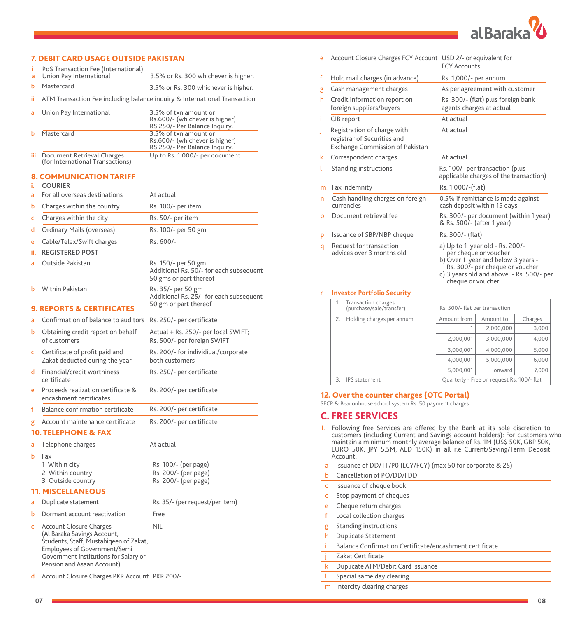

# 7. DEBIT CARD USAGE OUTSIDE PAKISTAN

| a        | PoS Transaction Fee (International)<br>Union Pay International                                                                                                                                                 | 3.5% or Rs. 300 whichever is higher.                                                                                      |
|----------|----------------------------------------------------------------------------------------------------------------------------------------------------------------------------------------------------------------|---------------------------------------------------------------------------------------------------------------------------|
| ь        | Mastercard                                                                                                                                                                                                     | 3.5% or Rs. 300 whichever is higher.                                                                                      |
| ii       |                                                                                                                                                                                                                | ATM Transaction Fee including balance inquiry & International Transaction                                                 |
| a        | Union Pay International                                                                                                                                                                                        | 3.5% of txn amount or<br>Rs.600/- (whichever is higher)                                                                   |
| ь        | Mastercard                                                                                                                                                                                                     | RS.250/- Per Balance Inquiry.<br>3.5% of txn amount or<br>Rs.600/- (whichever is higher)<br>RS.250/- Per Balance Inquiry. |
| Ш        | Document Retrieval Charges<br>(for International Transactions)                                                                                                                                                 | Up to Rs. 1,000/- per document                                                                                            |
| i.       | <b>8. COMMUNICATION TARIFF</b><br><b>COURIER</b>                                                                                                                                                               |                                                                                                                           |
| ă        | For all overseas destinations                                                                                                                                                                                  | At actual                                                                                                                 |
| ь        | Charges within the country                                                                                                                                                                                     | Rs. 100/- per item                                                                                                        |
| Ċ        | Charges within the city                                                                                                                                                                                        | Rs. 50/- per item                                                                                                         |
| d        | Ordinary Mails (overseas)                                                                                                                                                                                      | Rs. 100/- per 50 gm                                                                                                       |
|          |                                                                                                                                                                                                                | Rs. 600/-                                                                                                                 |
| e<br>ii. | Cable/Telex/Swift charges<br><b>REGISTERED POST</b>                                                                                                                                                            |                                                                                                                           |
| a        | Outside Pakistan                                                                                                                                                                                               | Rs. 150/- per 50 gm<br>Additional Rs. 50/- for each subsequent<br>50 gms or part thereof                                  |
| ь        | Within Pakistan                                                                                                                                                                                                | Rs. 35/- per 50 gm<br>Additional Rs. 25/- for each subsequent<br>50 gm or part thereof                                    |
|          | <b>9. REPORTS &amp; CERTIFICATES</b>                                                                                                                                                                           |                                                                                                                           |
| a        | Confirmation of balance to auditors                                                                                                                                                                            | Rs. 250/- per certificate                                                                                                 |
| b        | Obtaining credit report on behalf<br>of customers                                                                                                                                                              | Actual + Rs. 250/- per local SWIFT;<br>Rs. 500/- per foreign SWIFT                                                        |
| c        | Certificate of profit paid and<br>Zakat deducted during the year                                                                                                                                               | Rs. 200/- for individiual/corporate<br>both customers                                                                     |
| d        | Financial/credit worthiness<br>certificate                                                                                                                                                                     | Rs. 250/- per certificate                                                                                                 |
| è        | Proceeds realization certificate &<br>encashment certificates                                                                                                                                                  | Rs. 200/- per certificate                                                                                                 |
| f        | Balance confirmation certificate                                                                                                                                                                               | Rs. 200/- per certificate                                                                                                 |
| g        | Account maintenance certificate<br><b>10. TELEPHONE &amp; FAX</b>                                                                                                                                              | Rs. 200/- per certificate                                                                                                 |
| ă        | Telephone charges                                                                                                                                                                                              | At actual                                                                                                                 |
| Ь        | Fax<br>1 Within city<br>2 Within country<br>3 Outside country                                                                                                                                                  | Rs. 100/- (per page)<br>Rs. 200/- (per page)<br>Rs. 200/- (per page)                                                      |
|          | <b>11. MISCELLANEOUS</b>                                                                                                                                                                                       |                                                                                                                           |
| a        | Duplicate statement                                                                                                                                                                                            | Rs. 35/- (per request/per item)                                                                                           |
| ь        | Dormant account reactivation                                                                                                                                                                                   | Free                                                                                                                      |
| c        | <b>Account Closure Charges</b><br>(Al Baraka Savings Account,<br>Students, Staff, Mustahiqeen of Zakat,<br>Employees of Government/Semi<br>Government institutions for Salary or<br>Pension and Asaan Account) | <b>NIL</b>                                                                                                                |
| d        | Account Closure Charges PKR Account PKR 200/-                                                                                                                                                                  |                                                                                                                           |

| Account Closure Charges FCY Account USD 2/- or equivalent for<br>e |                                                                                                      | <b>FCY Accounts</b>                                                                                                                                                                                |  |  |
|--------------------------------------------------------------------|------------------------------------------------------------------------------------------------------|----------------------------------------------------------------------------------------------------------------------------------------------------------------------------------------------------|--|--|
| f                                                                  | Hold mail charges (in advance)                                                                       | Rs. 1,000/- per annum                                                                                                                                                                              |  |  |
| g                                                                  | Cash management charges                                                                              | As per agreement with customer                                                                                                                                                                     |  |  |
| h                                                                  | Credit information report on<br>foreign suppliers/buyers                                             | Rs. 300/- (flat) plus foreign bank<br>agents charges at actual                                                                                                                                     |  |  |
| Ĩ.                                                                 | CIB report                                                                                           | At actual                                                                                                                                                                                          |  |  |
| T                                                                  | Registration of charge with<br>registrar of Securities and<br><b>Exchange Commission of Pakistan</b> | At actual                                                                                                                                                                                          |  |  |
| k                                                                  | Correspondent charges                                                                                | At actual                                                                                                                                                                                          |  |  |
| t                                                                  | <b>Standing instructions</b>                                                                         | Rs. 100/- per transaction (plus<br>applicable charges of the transaction)                                                                                                                          |  |  |
| m                                                                  | Fax indemnity                                                                                        | Rs. 1,000/-(flat)                                                                                                                                                                                  |  |  |
| n                                                                  | Cash handling charges on foreign<br>currencies                                                       | 0.5% if remittance is made against<br>cash deposit within 15 days                                                                                                                                  |  |  |
| o                                                                  | Document retrieval fee                                                                               | Rs. 300/- per document (within 1 year)<br>& Rs. 500/- (after 1 year)                                                                                                                               |  |  |
| p                                                                  | Issuance of SBP/NBP cheque                                                                           | Rs. 300/- (flat)                                                                                                                                                                                   |  |  |
| q                                                                  | Request for transaction<br>advices over 3 months old                                                 | a) Up to 1 year old - Rs. 200/-<br>per cheque or voucher<br>b) Over 1 year and below 3 years -<br>Rs. 300/- per cheque or voucher<br>c) 3 years old and above - Rs. 500/- per<br>cheque or voucher |  |  |
| r                                                                  | <b>Investor Portfolio Security</b>                                                                   |                                                                                                                                                                                                    |  |  |
|                                                                    | 1.<br>Transaction charges<br>$\sim$ $\sim$                                                           | $D - FQQL - F_{1} + F_{2} + F_{3} + F_{4} + F_{5} + F_{6} + F_{7} + F_{8}$                                                                                                                         |  |  |

| 1. | <b>Transaction charges</b><br>(purchase/sale/transfer) | Rs. 500/- flat per transaction. |                                            |       |
|----|--------------------------------------------------------|---------------------------------|--------------------------------------------|-------|
| 2. | Holding charges per annum                              | Amount from                     | Amount to                                  |       |
|    |                                                        | 1                               | 2.000.000                                  | 3,000 |
|    |                                                        | 2.000.001                       | 3.000.000                                  | 4,000 |
|    |                                                        | 3.000.001                       | 4.000.000                                  | 5,000 |
|    |                                                        | 4.000.001                       | 5.000.000                                  | 6,000 |
|    |                                                        | 5.000.001                       | onward                                     | 7.000 |
| 3. | <b>IPS</b> statement                                   |                                 | Quarterly - Free on request Rs. 100/- flat |       |

## 12. Over the counter charges (OTC Portal)

SECP & Beaconhouse school system Rs. 50 payment charges

## **C. FREE SERVICES**

- 1. Following free Services are offered by the Bank at its sole discretion to customers (including Current and Savings account holders): For customers who<br>maintain a minimum monthly average balance of Rs. 1M (US\$ 50K, GBP 50K,<br>EURO 50K, JPY 5.5M, AED 150K) in all r.e Current/Saving/Term Depo Account.
- 
- a Issuance of DD/TT/P0 (LCY/FCY) (max 50 for corporate & 25) **b** Cancellation of PO/DD/FDD c Issuance of cheque book d Stop payment of cheques e Cheque return charges f Local collection charges g Standing instructions h Duplicate Statement i Balance Confirmation Certificate/encashment certificate
- Zakat Certificate
- k Duplicate ATM/Debit Card Issuance
- l Special same day clearing
- m Intercity clearing charges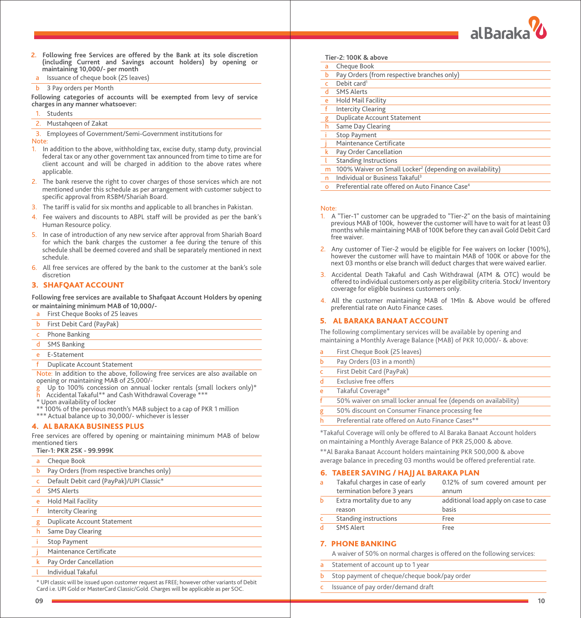

- **2. Following free Services are offered by the Bank at its sole discretion (including Current and Savings account holders) by opening or maintaining 10,000/- per month**
- a Issuance of cheque book (25 leaves)
- **b** 3 Pay orders per Month

**Following categories of accounts will be exempted from levy of service charges in any manner whatsoever:**

- **Students**
- Mustahqeen of Zakat

3. Employees of Government/Semi-Government institutions for Note:

- 1. In addition to the above, withholding tax, excise duty, stamp duty, provincial federal tax or any other government tax announced from time to time are for client account and will be charged in addition to the above rates where applicable.
- 2. The bank reserve the right to cover charges of those services which are not mentioned under this schedule as per arrangement with customer subject to specific approval from RSBM/Shariah Board.
- 3. The tariff is valid for six months and applicable to all branches in Pakistan.
- 4. Fee waivers and discounts to ABPL staff will be provided as per the bank's Human Resource policy.
- 5. In case of introduction of any new service after approval from Shariah Board for which the bank charges the customer a fee during the tenure of this schedule shall be deemed covered and shall be separately mentioned in next schedule.
- 6. All free services are offered by the bank to the customer at the bank's sole discretion

# 3. SHAFQAAT ACCOUNT

**Following free services are available to Shafqaat Account Holders by opening or maintaining minimum MAB of 10,000/-**

- a First Cheque Books of 25 leaves
- b First Debit Card (PayPak)
- Phone Banking
- SMS Banking
- E-Statement
- Duplicate Account Statement

Note: In addition to the above, following free services are also available on opening or maintaining MAB of 25,000/-

- g Up to 100% concession on annual locker rentals (small lockers only)\*<br>h Accidental Takaful\*\* and Cash Withdrawal Coverage \*\*\*
- 
- \* Upon availability of locker
- 100% of the pervious month's MAB subject to a cap of PKR 1 million
- \*\*\* Actual balance up to 30,000/- whichever is lesser

#### 4. AL BARAKA BUSINESS PLUS

Free services are offered by opening or maintaining minimum MAB of below mentioned tiers

|             | Tier-1: PKR 25K - 99.999K                  |
|-------------|--------------------------------------------|
| a           | Cheque Book                                |
| Ь           | Pay Orders (from respective branches only) |
| Ċ           | Default Debit card (PayPak)/UPI Classic*   |
| d           | <b>SMS Alerts</b>                          |
| e           | <b>Hold Mail Facility</b>                  |
| f           | <b>Intercity Clearing</b>                  |
| g           | <b>Duplicate Account Statement</b>         |
| h           | Same Day Clearing                          |
|             | <b>Stop Payment</b>                        |
|             | Maintenance Certificate                    |
| $\mathbf k$ | Pay Order Cancellation                     |
|             | Individual Takaful                         |

\* UPI classic will be issued upon customer request as FREE; however other variants of Debit Card i.e. UPI Gold or MasterCard Classic/Gold. Charges will be applicable as per SOC.

| Tier-2: 100K & above |  |  |
|----------------------|--|--|
|----------------------|--|--|

| a          | Cheque Book                                                          |
|------------|----------------------------------------------------------------------|
| b          | Pay Orders (from respective branches only)                           |
| $\epsilon$ | Debit card <sup>1</sup>                                              |
| d          | <b>SMS Alerts</b>                                                    |
| e          | <b>Hold Mail Facility</b>                                            |
| $-f$       | <b>Intercity Clearing</b>                                            |
| g          | <b>Duplicate Account Statement</b>                                   |
| h          | Same Day Clearing                                                    |
|            | <b>Stop Payment</b>                                                  |
|            | Maintenance Certificate                                              |
| k          | Pay Order Cancellation                                               |
|            | <b>Standing Instructions</b>                                         |
| m          | 100% Waiver on Small Locker <sup>2</sup> (depending on availability) |
| n          | Individual or Business Takaful <sup>3</sup>                          |
| $\Omega$   | Preferential rate offered on Auto Finance Case <sup>4</sup>          |

#### Note:

- 1. A "Tier-1" customer can be upgraded to "Tier-2" on the basis of maintaining previous MAB of 100k, however the customer will have to wait for at least 03 months while maintaining MAB of 100K before they can avail Gold Debit Card free waiver.
- 2. Any customer of Tier-2 would be eligible for Fee waivers on locker (100%), however the customer will have to maintain MAB of 100K or above for the next 03 months or else branch will deduct charges that were waived earlier.
- 3. Accidental Death Takaful and Cash Withdrawal (ATM & OTC) would be offered to individual customers only as per eligibility criteria. Stock/ Inventory coverage for eligible business customers only.
- 4. All the customer maintaining MAB of 1Mln & Above would be offered preferential rate on Auto Finance cases.

#### 5. AL BARAKA BANAAT ACCOUNT

The following complimentary services will be available by opening and maintaining a Monthly Average Balance (MAB) of PKR 10,000/- & above:

| a            | First Cheque Book (25 leaves)                                   |
|--------------|-----------------------------------------------------------------|
| b            | Pay Orders (03 in a month)                                      |
| $\mathsf{C}$ | First Debit Card (PayPak)                                       |
| d            | <b>Exclusive free offers</b>                                    |
| e            | Takaful Coverage*                                               |
| f            | 50% waiver on small locker annual fee (depends on availability) |
| g            | 50% discount on Consumer Finance processing fee                 |
| h            | Preferential rate offered on Auto Finance Cases**               |

\*Takaful Coverage will only be offered to Al Baraka Banaat Account holders on maintaining a Monthly Average Balance of PKR 25,000 & above.

\*\*Al Baraka Banaat Account holders maintaining PKR 500,000 & above average balance in preceding 03 months would be offered preferential rate.

#### 6. TABEER SAVING / HAJJ AL BARAKA PLAN

| a        | Takaful charges in case of early<br>termination before 3 years | 0.12% of sum covered amount per<br>annum |
|----------|----------------------------------------------------------------|------------------------------------------|
| ь        | Extra mortality due to any                                     | additional load apply on case to case    |
|          | reason                                                         | basis                                    |
| <b>C</b> | <b>Standing instructions</b>                                   | Free                                     |
|          | SMS Alert                                                      | Free                                     |

## 7. PHONE BANKING

A waiver of 50% on normal charges is offered on the following services:

- Statement of account up to 1 year
- Stop payment of cheque/cheque book/pay order
- Issuance of pay order/demand draft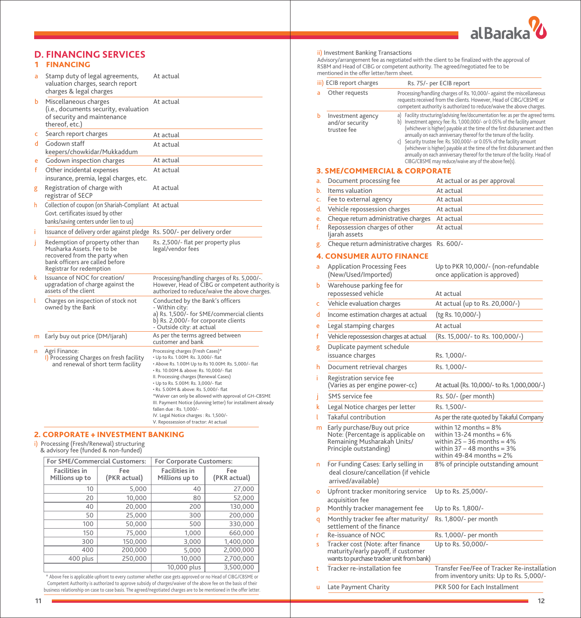

|    | <b>D. FINANCING SERVICES</b><br><b>FINANCING</b>                                                                                                                |                                                                                                                                                                                                                                                                                                                                                                                                                                                                                                                                              |
|----|-----------------------------------------------------------------------------------------------------------------------------------------------------------------|----------------------------------------------------------------------------------------------------------------------------------------------------------------------------------------------------------------------------------------------------------------------------------------------------------------------------------------------------------------------------------------------------------------------------------------------------------------------------------------------------------------------------------------------|
| a  | Stamp duty of legal agreements,<br>valuation charges, search report<br>charges & legal charges                                                                  | At actual                                                                                                                                                                                                                                                                                                                                                                                                                                                                                                                                    |
| ь  | Miscellaneous charges<br>(i.e., documents security, evaluation<br>of security and maintenance<br>thereof, etc.)                                                 | At actual                                                                                                                                                                                                                                                                                                                                                                                                                                                                                                                                    |
| c  | Search report charges                                                                                                                                           | At actual                                                                                                                                                                                                                                                                                                                                                                                                                                                                                                                                    |
| d  | Godown staff<br>keepers/chowkidar/Mukkaddum                                                                                                                     | At actual                                                                                                                                                                                                                                                                                                                                                                                                                                                                                                                                    |
| e  | Godown inspection charges                                                                                                                                       | At actual                                                                                                                                                                                                                                                                                                                                                                                                                                                                                                                                    |
| f  | Other incidental expenses<br>insurance, premia, legal charges, etc.                                                                                             | At actual                                                                                                                                                                                                                                                                                                                                                                                                                                                                                                                                    |
| g  | Registration of charge with<br>registrar of SECP                                                                                                                | At actual                                                                                                                                                                                                                                                                                                                                                                                                                                                                                                                                    |
| h  | Collection of coupon (on Shariah-Compliant At actual<br>Govt. certificates issued by other<br>banks/saving centers under lien to us)                            |                                                                                                                                                                                                                                                                                                                                                                                                                                                                                                                                              |
| i. | Issuance of delivery order against pledge Rs. 500/- per delivery order                                                                                          |                                                                                                                                                                                                                                                                                                                                                                                                                                                                                                                                              |
| Ť  | Redemption of property other than<br>Musharka Assets. Fee to be<br>recovered from the party when<br>bank officers are called before<br>Registrar for redemption | Rs. 2,500/- flat per property plus<br>legal/vendor fees                                                                                                                                                                                                                                                                                                                                                                                                                                                                                      |
| k  | Issuance of NOC for creation/<br>upgradation of charge against the<br>assets of the client                                                                      | Processing/handling charges of Rs. 5,000/-.<br>However, Head of CIBG or competent authority is<br>authorized to reduce/waive the above charges.                                                                                                                                                                                                                                                                                                                                                                                              |
| ι  | Charges on inspection of stock not<br>owned by the Bank                                                                                                         | Conducted by the Bank's officers<br>- Within city:<br>a) Rs. 1,500/- for SME/commercial clients<br>b) Rs. 2,000/- for corporate clients<br>- Outside city: at actual                                                                                                                                                                                                                                                                                                                                                                         |
| m  | Early buy out price (DM/Ijarah)                                                                                                                                 | As per the terms agreed between<br>customer and bank                                                                                                                                                                                                                                                                                                                                                                                                                                                                                         |
| n  | Agri Finance:<br>I) Processing Charges on fresh facility<br>and renewal of short term facility                                                                  | Processing charges (Fresh Cases)*<br>• Up to Rs. 1.00M: Rs. 3,000/- flat<br>+ Above Rs. 1.00M Up to Rs 10.00M: Rs. 5,000/- flat<br>· Rs. 10.00M & above: Rs. 10,000/- flat<br>II. Processing charges (Renewal Cases)<br>• Up to Rs. 5.00M: Rs. 3,000/- flat<br>· Rs. 5.00M & above: Rs. 5,000/- flat<br>*Waiver can only be allowed with approval of GH-CBSME<br>III. Payment Notice (dunning letter) for installment already<br>fallen due : Rs. 1,000/-<br>IV. Legal Notice charges : Rs. 1,500/-<br>V. Repossession of tractor: At actual |

#### 2. CORPORATE + INVESTMENT BANKING

i) Processing (Fresh/Renewal) structuring & advisory fee (funded & non-funded)

| For SME/Commercial Customers:          |                     | For Corporate Customers:               |                     |  |
|----------------------------------------|---------------------|----------------------------------------|---------------------|--|
| <b>Facilities in</b><br>Millions up to | Fee<br>(PKR actual) | <b>Facilities in</b><br>Millions up to | Fee<br>(PKR actual) |  |
| 10                                     | 5,000               | 40                                     | 27,000              |  |
| 20                                     | 10.000              | 80                                     | 52,000              |  |
| 40                                     | 20,000              | 200                                    | 130,000             |  |
| 50                                     | 25,000              | 300                                    | 200,000             |  |
| 100                                    | 50,000              | 500                                    | 330,000             |  |
| 150                                    | 75,000              | 1,000                                  | 660,000             |  |
| 300                                    | 150,000             | 3,000                                  | 1,400,000           |  |
| 400                                    | 200,000             | 5,000                                  | 2,000,000           |  |
| 400 plus                               | 250,000             | 10,000                                 | 2,700,000           |  |
|                                        |                     | 10.000 plus                            | 3,500,000           |  |

\* Above Fee is applicable upfront to every customer whether case gets approved or no Head of CIBG/CBSME or Competent Authority is authorized to approve subsidy of charges/waiver of the above fee on the basis of their<br>business relationship on case to case basis. The agreed/negotiated charges are to be mentioned in the offer lett

## ii) Investment Banking Transactions

Advisory/arrangement fee as negotiated with the client to be finalized with the approval of<br>RSBM and Head of CIBG or competent authority. The agreed/negotiated fee to be<br>mentioned in the offer letter/term sheet.

|          | iii) ECIB report charges                                                                                                    |                                                                                                                                                                                                                     | Rs. 75/- per ECIB report                                                                                                                                                                                                                                                                                                                                                                                                                                                                                                                                                                                             |  |  |
|----------|-----------------------------------------------------------------------------------------------------------------------------|---------------------------------------------------------------------------------------------------------------------------------------------------------------------------------------------------------------------|----------------------------------------------------------------------------------------------------------------------------------------------------------------------------------------------------------------------------------------------------------------------------------------------------------------------------------------------------------------------------------------------------------------------------------------------------------------------------------------------------------------------------------------------------------------------------------------------------------------------|--|--|
|          | Other requests                                                                                                              | Processing/handling charges of Rs. 10,000/- against the miscellaneous<br>requests received from the clients. However, Head of CIBG/CBSME or<br>competent authority is authorized to reduce/waive the above charges. |                                                                                                                                                                                                                                                                                                                                                                                                                                                                                                                                                                                                                      |  |  |
| Ь        | Investment agency<br>a)<br>and/or security<br>trustee fee                                                                   |                                                                                                                                                                                                                     | Facility structuring/advising fee/documentation fee: as per the agreed terms.<br>b) Investment agency fee: Rs. 1,000,000/- or 0.05% of the facility amount<br>(whichever is higher) payable at the time of the first disbursement and then<br>annually on each anniversary thereof for the tenure of the facility.<br>c) Security trustee fee: Rs. 500,000/- or 0.05% of the facility amount<br>(whichever is higher) payable at the time of the first disbursement and then<br>annually on each anniversary thereof for the tenure of the facility. Head of<br>CIBG/CBSME may reduce/waive any of the above fee(s). |  |  |
|          | <b>3. SME/COMMERCIAL &amp; CORPORATE</b>                                                                                    |                                                                                                                                                                                                                     |                                                                                                                                                                                                                                                                                                                                                                                                                                                                                                                                                                                                                      |  |  |
| a.       | Document processing fee                                                                                                     |                                                                                                                                                                                                                     | At actual or as per approval                                                                                                                                                                                                                                                                                                                                                                                                                                                                                                                                                                                         |  |  |
| ь.       | Items valuation                                                                                                             |                                                                                                                                                                                                                     | At actual                                                                                                                                                                                                                                                                                                                                                                                                                                                                                                                                                                                                            |  |  |
| c.       | Fee to external agency                                                                                                      |                                                                                                                                                                                                                     | At actual                                                                                                                                                                                                                                                                                                                                                                                                                                                                                                                                                                                                            |  |  |
| d.       | Vehicle repossession charges                                                                                                |                                                                                                                                                                                                                     | At actual                                                                                                                                                                                                                                                                                                                                                                                                                                                                                                                                                                                                            |  |  |
| e.<br>f. | Cheque return administrative charges<br>Repossession charges of other<br>ljarah assets                                      |                                                                                                                                                                                                                     | At actual<br>At actual                                                                                                                                                                                                                                                                                                                                                                                                                                                                                                                                                                                               |  |  |
| g.       | Cheque return administrative charges                                                                                        |                                                                                                                                                                                                                     | Rs. 600/-                                                                                                                                                                                                                                                                                                                                                                                                                                                                                                                                                                                                            |  |  |
|          | <b>4. CONSUMER AUTO FINANCE</b>                                                                                             |                                                                                                                                                                                                                     |                                                                                                                                                                                                                                                                                                                                                                                                                                                                                                                                                                                                                      |  |  |
| a        | <b>Application Processing Fees</b><br>(New/Used/Imported)                                                                   |                                                                                                                                                                                                                     | Up to PKR 10,000/- (non-refundable<br>once application is approved)                                                                                                                                                                                                                                                                                                                                                                                                                                                                                                                                                  |  |  |
| ь        | Warehouse parking fee for<br>repossessed vehicle                                                                            |                                                                                                                                                                                                                     | At actual                                                                                                                                                                                                                                                                                                                                                                                                                                                                                                                                                                                                            |  |  |
| c        | Vehicle evaluation charges                                                                                                  |                                                                                                                                                                                                                     | At actual (up to Rs. 20,000/-)                                                                                                                                                                                                                                                                                                                                                                                                                                                                                                                                                                                       |  |  |
| d        | Income estimation charges at actual                                                                                         |                                                                                                                                                                                                                     | (tg Rs. 10,000/-)                                                                                                                                                                                                                                                                                                                                                                                                                                                                                                                                                                                                    |  |  |
| e        | Legal stamping charges                                                                                                      |                                                                                                                                                                                                                     | At actual                                                                                                                                                                                                                                                                                                                                                                                                                                                                                                                                                                                                            |  |  |
| f        | Vehicle repossession charges at actual                                                                                      |                                                                                                                                                                                                                     | (Rs. 15,000/- to Rs. 100,000/-)                                                                                                                                                                                                                                                                                                                                                                                                                                                                                                                                                                                      |  |  |
| g        | Duplicate payment schedule<br>issuance charges                                                                              |                                                                                                                                                                                                                     | Rs. 1,000/-                                                                                                                                                                                                                                                                                                                                                                                                                                                                                                                                                                                                          |  |  |
| h        | Document retrieval charges                                                                                                  |                                                                                                                                                                                                                     | Rs. 1,000/-                                                                                                                                                                                                                                                                                                                                                                                                                                                                                                                                                                                                          |  |  |
| i.       | Registration service fee<br>(Varies as per engine power-cc)                                                                 |                                                                                                                                                                                                                     | At actual (Rs. 10,000/- to Rs. 1,000,000/-)                                                                                                                                                                                                                                                                                                                                                                                                                                                                                                                                                                          |  |  |
| j        | SMS service fee                                                                                                             |                                                                                                                                                                                                                     | Rs. 50/- (per month)                                                                                                                                                                                                                                                                                                                                                                                                                                                                                                                                                                                                 |  |  |
| k        | Legal Notice charges per letter                                                                                             |                                                                                                                                                                                                                     | Rs. 1,500/-                                                                                                                                                                                                                                                                                                                                                                                                                                                                                                                                                                                                          |  |  |
|          | Takaful contribution                                                                                                        |                                                                                                                                                                                                                     | As per the rate quoted by Takaful Company                                                                                                                                                                                                                                                                                                                                                                                                                                                                                                                                                                            |  |  |
| m        | Early purchase/Buy out price<br>Note: (Percentage is applicable on<br>Remaining Musharakah Units/<br>Principle outstanding) |                                                                                                                                                                                                                     | within 12 months = 8%<br>within 13-24 months $= 6\%$<br>within 25 – 36 months = $4\%$<br>within $37 - 48$ months = $3\%$<br>within 49-84 months $=$ 2%                                                                                                                                                                                                                                                                                                                                                                                                                                                               |  |  |
| n        | For Funding Cases: Early selling in<br>deal closure/cancellation (if vehicle<br>arrived/available)                          |                                                                                                                                                                                                                     | 8% of principle outstanding amount                                                                                                                                                                                                                                                                                                                                                                                                                                                                                                                                                                                   |  |  |
| о        | Upfront tracker monitoring service<br>acquisition fee                                                                       |                                                                                                                                                                                                                     | Up to Rs. 25,000/-                                                                                                                                                                                                                                                                                                                                                                                                                                                                                                                                                                                                   |  |  |
| p        | Monthly tracker management fee                                                                                              |                                                                                                                                                                                                                     | Up to Rs. 1,800/-                                                                                                                                                                                                                                                                                                                                                                                                                                                                                                                                                                                                    |  |  |
| q        | Monthly tracker fee after maturity/<br>settlement of the finance                                                            |                                                                                                                                                                                                                     | Rs. 1,800/- per month                                                                                                                                                                                                                                                                                                                                                                                                                                                                                                                                                                                                |  |  |
| r        | Re-issuance of NOC                                                                                                          |                                                                                                                                                                                                                     | Rs. 1,000/- per month                                                                                                                                                                                                                                                                                                                                                                                                                                                                                                                                                                                                |  |  |
| S        | Tracker cost (Note: after finance<br>maturity/early payoff, if customer<br>wants to purchase tracker unit from bank)        |                                                                                                                                                                                                                     | Up to Rs. 50,000/-                                                                                                                                                                                                                                                                                                                                                                                                                                                                                                                                                                                                   |  |  |
| t        | Tracker re-installation fee                                                                                                 |                                                                                                                                                                                                                     | Transfer Fee/Fee of Tracker Re-installation<br>from inventory units: Up to Rs. 5,000/-                                                                                                                                                                                                                                                                                                                                                                                                                                                                                                                               |  |  |
| ū        | Late Payment Charity                                                                                                        |                                                                                                                                                                                                                     | PKR 500 for Each Installment                                                                                                                                                                                                                                                                                                                                                                                                                                                                                                                                                                                         |  |  |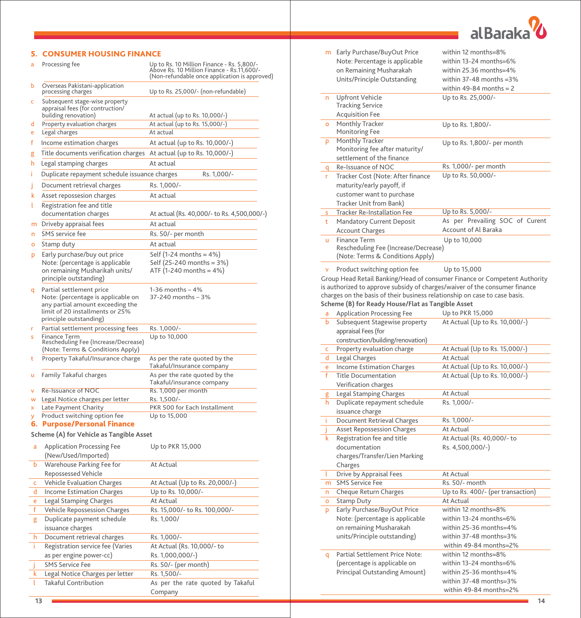

# 5. CONSUMER HOUSING FINANCE

| a      | Processing fee                                                                                                                                                  | Up to Rs. 10 Million Finance - Rs. 5,800/-<br>Above Rs. 10 Million Finance - Rs.11,600/-<br>(Non-refundable once application is approved) |
|--------|-----------------------------------------------------------------------------------------------------------------------------------------------------------------|-------------------------------------------------------------------------------------------------------------------------------------------|
| b      | Overseas Pakistani-application<br>processing charges                                                                                                            | Up to Rs. 25,000/- (non-refundable)                                                                                                       |
| c      | Subsequent stage-wise property<br>appraisal fees (for contruction/<br>building renovation)                                                                      | At actual (up to Rs. 10,000/-)                                                                                                            |
| d      | Property evaluation charges                                                                                                                                     | At actual (up to Rs. 15,000/-)                                                                                                            |
| e      | Legal charges                                                                                                                                                   | At actual                                                                                                                                 |
| f      | Income estimation charges                                                                                                                                       | At actual (up to Rs. 10,000/-)                                                                                                            |
| g      | Title documents verification charges                                                                                                                            | At actual (up to Rs. 10,000/-)                                                                                                            |
| h      | Legal stamping charges                                                                                                                                          | At actual                                                                                                                                 |
| Î.     | Duplicate repayment schedule issuance charges                                                                                                                   | Rs. 1,000/-                                                                                                                               |
| J      | Document retrieval charges                                                                                                                                      | Rs. 1,000/-                                                                                                                               |
| k      | Asset repossesion charges                                                                                                                                       | At actual                                                                                                                                 |
| ι      | Registration fee and title                                                                                                                                      |                                                                                                                                           |
|        | documentation charges                                                                                                                                           | At actual (Rs. 40,000/- to Rs. 4,500,000/-)                                                                                               |
| m      | Driveby appraisal fees                                                                                                                                          | At actual                                                                                                                                 |
| n      | SMS service fee                                                                                                                                                 | Rs. 50/- per month                                                                                                                        |
| о      | Stamp duty                                                                                                                                                      | At actual                                                                                                                                 |
| p      | Early purchase/buy out price                                                                                                                                    | Self (1-24 months = $4\%$ )                                                                                                               |
|        | Note: (percentage is applicable<br>on remaining Musharikah units/<br>principle outstanding)                                                                     | Self (25-240 months = 3%)<br>ATF (1-240 months = $4\%$ )                                                                                  |
| q      | Partial settlement price<br>Note: (percentage is applicable on<br>any partial amount exceeding the<br>limit of 20 installments or 25%<br>principle outstanding) | 1-36 months – 4%<br>37-240 months - 3%                                                                                                    |
| r      | Partial settlement processing fees                                                                                                                              | Rs. 1,000/-                                                                                                                               |
| s      | Finance Term<br>Rescheduling Fee (Increase/Decrease)<br>(Note: Terms & Conditions Apply)                                                                        | Up to 10,000                                                                                                                              |
| t      | Property Takaful/Insurance charge                                                                                                                               | As per the rate quoted by the<br><u>Takaful/Insurance company</u>                                                                         |
| u      | <b>Family Takaful charges</b>                                                                                                                                   | As per the rate quoted by the<br>Takaful/insurance company                                                                                |
| v      | Re-Issuance of NOC                                                                                                                                              | Rs. 1,000 per month                                                                                                                       |
| w      | Legal Notice charges per letter                                                                                                                                 | Rs. 1,500/-                                                                                                                               |
| x<br>У | Late Payment Charity<br>Product switching option fee                                                                                                            | PKR 500 for Each Installment<br>Up to 15,000                                                                                              |
|        | 6. Purpose/Personal Finance                                                                                                                                     |                                                                                                                                           |
|        | Scheme (A) for Vehicle as Tangible Asset                                                                                                                        |                                                                                                                                           |
| a      | <b>Application Processing Fee</b><br>(New/Used/Imported)                                                                                                        | Up to PKR 15,000                                                                                                                          |
| b      | Warehouse Parking Fee for                                                                                                                                       | At Actual                                                                                                                                 |
|        | <b>Repossessed Vehicle</b>                                                                                                                                      |                                                                                                                                           |
| c      | Vehicle Evaluation Charges                                                                                                                                      | At Actual (Up to Rs. 20,000/-)                                                                                                            |
| d      | <b>Income Estimation Charges</b>                                                                                                                                | Up to Rs. 10,000/-                                                                                                                        |
| e      | Legal Stamping Charges                                                                                                                                          | At Actual                                                                                                                                 |
| f      | Vehicle Repossession Charges                                                                                                                                    | Rs. 15,000/- to Rs. 100,000/-                                                                                                             |
| g      | Duplicate payment schedule<br>issuance charges                                                                                                                  | Rs. 1,000/                                                                                                                                |
| h      | Document retrieval charges                                                                                                                                      | Rs. 1,000/-                                                                                                                               |
| î.     | Registration service fee (Varies                                                                                                                                | At Actual (Rs. 10,000/- to                                                                                                                |
|        | as per engine power-cc)                                                                                                                                         | Rs. 1,000,000/-)                                                                                                                          |
| Î      | <b>SMS Service Fee</b>                                                                                                                                          | Rs. 50/- (per month)                                                                                                                      |
| k      | Legal Notice Charges per letter                                                                                                                                 | Rs. 1,500/-                                                                                                                               |
| t      | <b>Takaful Contribution</b>                                                                                                                                     | As per the rate quoted by Takaful<br>Company                                                                                              |
|        |                                                                                                                                                                 |                                                                                                                                           |

|    | <b>CONSUMER HOUSING FINANCE</b>                                     |                                                                                             |                         |   | m Early Purchase/BuyOut Price                                                                                                   | within 12 months=8%                                                       |
|----|---------------------------------------------------------------------|---------------------------------------------------------------------------------------------|-------------------------|---|---------------------------------------------------------------------------------------------------------------------------------|---------------------------------------------------------------------------|
|    | Processing fee                                                      | Up to Rs. 10 Million Finance - Rs. 5,800/-                                                  |                         |   | Note: Percentage is applicable                                                                                                  | within 13-24 months=6%                                                    |
|    |                                                                     | Above Rs. 10 Million Finance - Rs.11,600/-<br>(Non-refundable once application is approved) |                         |   | on Remaining Musharakah                                                                                                         | within 25.36 months=4%                                                    |
|    | Overseas Pakistani-application                                      |                                                                                             |                         |   | Units/Principle Outstanding                                                                                                     | within $37-48$ months $=3\%$                                              |
|    | processing charges                                                  | Up to Rs. 25,000/- (non-refundable)                                                         |                         |   |                                                                                                                                 | within 49-84 months = $2$                                                 |
|    | Subsequent stage-wise property                                      |                                                                                             | $\mathsf{n}$            |   | <b>Upfront Vehicle</b><br><b>Tracking Service</b>                                                                               | Up to Rs. 25,000/-                                                        |
|    | appraisal fees (for contruction/<br>building renovation)            | At actual (up to Rs. 10,000/-)                                                              |                         |   | Acquisition Fee                                                                                                                 |                                                                           |
|    | Property evaluation charges                                         | At actual (up to Rs. 15,000/-)                                                              | $\circ$                 |   | Monthly Tracker                                                                                                                 | Up to Rs. 1,800/-                                                         |
|    | Legal charges                                                       | At actual                                                                                   |                         |   | Monitoring Fee                                                                                                                  |                                                                           |
|    | Income estimation charges                                           | At actual (up to Rs. 10,000/-)                                                              | D                       |   | <b>Monthly Tracker</b>                                                                                                          | Up to Rs. 1,800/- per month                                               |
|    | Title documents verification charges At actual (up to Rs. 10,000/-) |                                                                                             |                         |   | Monitoring fee after maturity/                                                                                                  |                                                                           |
|    | Legal stamping charges                                              | At actual                                                                                   |                         |   | settlement of the finance                                                                                                       | Rs. 1,000/- per month                                                     |
|    | Duplicate repayment schedule issuance charges                       | Rs. 1,000/-                                                                                 | $\mathsf{q}$<br>r.      |   | Re-Issuance of NOC<br>Tracker Cost (Note: After finance                                                                         | Up to Rs. 50,000/-                                                        |
|    | Document retrieval charges                                          | Rs. 1,000/-                                                                                 |                         |   | maturity/early payoff, if                                                                                                       |                                                                           |
|    | Asset repossesion charges                                           | At actual                                                                                   |                         |   | customer want to purchase                                                                                                       |                                                                           |
|    | Registration fee and title                                          |                                                                                             |                         |   | Tracker Unit from Bank)                                                                                                         |                                                                           |
|    | documentation charges                                               | At actual (Rs. 40,000/- to Rs. 4,500,000/-)                                                 | $\overline{\mathsf{S}}$ |   | <b>Tracker Re-Installation Fee</b>                                                                                              | Up to Rs. 5,000/-                                                         |
|    | Driveby appraisal fees                                              | At actual                                                                                   | t.                      |   | <b>Mandatory Current Deposit</b>                                                                                                | As per Prevailing SOC of Curent                                           |
|    | SMS service fee                                                     | Rs. 50/- per month                                                                          |                         |   | <b>Account Charges</b>                                                                                                          | Account of Al Baraka                                                      |
|    | Stamp duty                                                          | At actual                                                                                   | $\mathbf{u}$            |   | Finance Term                                                                                                                    | Up to 10,000                                                              |
|    | Early purchase/buy out price                                        | Self $(1-24$ months = $4\%)$                                                                |                         |   | Rescheduling Fee (Increase/Decrease)                                                                                            |                                                                           |
|    | Note: (percentage is applicable                                     | Self (25-240 months = 3%)                                                                   |                         |   | (Note: Terms & Conditions Apply)                                                                                                |                                                                           |
|    | on remaining Musharikah units/                                      | ATF $(1-240$ months = $4\%$ )                                                               | $\mathsf{v}$            |   | Product switching option fee                                                                                                    | Up to 15,000                                                              |
|    | principle outstanding)                                              |                                                                                             |                         |   |                                                                                                                                 | Group Head Retail Banking/Head of consumer Finance or Competent Authority |
|    | Partial settlement price                                            | 1-36 months $-4%$                                                                           |                         |   | is authorized to approve subsidy of charges/waiver of the consumer finance                                                      |                                                                           |
|    | Note: (percentage is applicable on                                  | 37-240 months - 3%                                                                          |                         |   | charges on the basis of their business relationship on case to case basis.<br>Scheme (B) for Ready House/Flat as Tangible Asset |                                                                           |
|    | any partial amount exceeding the<br>limit of 20 installments or 25% |                                                                                             |                         |   | a Application Processing Fee                                                                                                    | Up to PKR 15,000                                                          |
|    | principle outstanding)                                              |                                                                                             | b                       |   | Subsequent Stagewise property                                                                                                   | At Actual (Up to Rs. 10,000/-)                                            |
|    | Partial settlement processing fees                                  | Rs. 1,000/-                                                                                 |                         |   | appraisal Fees (for                                                                                                             |                                                                           |
|    | Finance Term<br>Rescheduling Fee (Increase/Decrease)                | Up to 10,000                                                                                |                         |   | construction/building/renovation)                                                                                               |                                                                           |
|    | (Note: Terms & Conditions Apply)                                    |                                                                                             | $\mathsf{C}$            |   | Property evaluation charge                                                                                                      | At Actual (Up to Rs. 15,000/-)                                            |
|    | Property Takaful/Insurance charge                                   | As per the rate quoted by the                                                               | d.                      |   | Legal Charges                                                                                                                   | At Actual                                                                 |
|    |                                                                     | Takaful/Insurance company                                                                   | e                       |   | <b>Income Estimation Charges</b>                                                                                                | At Actual (Up to Rs. 10,000/-)                                            |
|    | <b>Family Takaful charges</b>                                       | As per the rate quoted by the                                                               | f                       |   | <b>Title Documentation</b>                                                                                                      | At Actual (Up to Rs. 10,000/-)                                            |
|    | <b>Re-Issuance of NOC</b>                                           | Takaful/insurance company<br>Rs. 1,000 per month                                            |                         |   | Verification charges                                                                                                            |                                                                           |
|    | Legal Notice charges per letter                                     | Rs. 1,500/-                                                                                 | g                       |   | Legal Stamping Charges                                                                                                          | At Actual                                                                 |
|    | Late Payment Charity                                                | PKR 500 for Each Installment                                                                | h.                      |   | Duplicate repayment schedule                                                                                                    | Rs. 1,000/-                                                               |
|    | Product switching option fee                                        | Up to 15,000                                                                                | ÷Ī.                     |   | issuance charge<br>Document Retrieval Charges                                                                                   | Rs. 1,000/-                                                               |
|    | <b>Purpose/Personal Finance</b>                                     |                                                                                             |                         |   | <b>Asset Repossession Charges</b>                                                                                               | At Actual                                                                 |
|    | cheme (A) for Vehicle as Tangible Asset                             |                                                                                             | $\mathbf k$             |   | Registration fee and title                                                                                                      | At Actual (Rs. 40,000/- to                                                |
|    | <b>Application Processing Fee</b>                                   | Up to PKR 15,000                                                                            |                         |   | documentation                                                                                                                   | Rs. 4,500,000/-)                                                          |
|    | (New/Used/Imported)                                                 |                                                                                             |                         |   | charges/Transfer/Lien Marking                                                                                                   |                                                                           |
|    | Warehouse Parking Fee for                                           | At Actual                                                                                   |                         |   | Charges                                                                                                                         |                                                                           |
|    | Repossessed Vehicle                                                 |                                                                                             |                         |   | Drive by Appraisal Fees                                                                                                         | At Actual                                                                 |
|    | Vehicle Evaluation Charges                                          | At Actual (Up to Rs. 20,000/-)                                                              |                         | m | <b>SMS Service Fee</b>                                                                                                          | Rs. 50/- month                                                            |
|    | <b>Income Estimation Charges</b>                                    | Up to Rs. 10,000/-                                                                          | n                       |   | Cheque Return Charges                                                                                                           | Up to Rs. 400/- (per transaction)                                         |
|    | Legal Stamping Charges                                              | At Actual                                                                                   |                         |   | Stamp Duty                                                                                                                      | At Actual                                                                 |
|    | Vehicle Repossession Charges                                        | Rs. 15,000/- to Rs. 100,000/-                                                               |                         |   | Early Purchase/BuyOut Price                                                                                                     | within 12 months=8%                                                       |
|    | Duplicate payment schedule                                          | Rs. 1,000/                                                                                  |                         |   | Note: (percentage is applicable<br>on remaining Musharakah                                                                      | within 13-24 months=6%<br>within 25-36 months=4%                          |
|    | issuance charges                                                    | Rs. 1,000/-                                                                                 |                         |   | units/Principle outstanding)                                                                                                    | within 37-48 months=3%                                                    |
|    | Document retrieval charges<br>Registration service fee (Varies      | At Actual (Rs. 10,000/- to                                                                  |                         |   |                                                                                                                                 | within 49-84 months=2%                                                    |
|    | as per engine power-cc)                                             | Rs. 1,000,000/-)                                                                            | q                       |   | Partial Settlement Price Note:                                                                                                  | within 12 months=8%                                                       |
|    | SMS Service Fee                                                     | Rs. 50/- (per month)                                                                        |                         |   | (percentage is applicable on                                                                                                    | within 13-24 months=6%                                                    |
|    | Legal Notice Charges per letter                                     | Rs. 1,500/-                                                                                 |                         |   | Principal Outstanding Amount)                                                                                                   | within 25-36 months=4%                                                    |
|    | <b>Takaful Contribution</b>                                         | As per the rate quoted by Takaful                                                           |                         |   |                                                                                                                                 | within 37-48 months=3%                                                    |
|    |                                                                     | Company                                                                                     |                         |   |                                                                                                                                 | within 49-84 months=2%                                                    |
| 13 |                                                                     |                                                                                             |                         |   |                                                                                                                                 | 14                                                                        |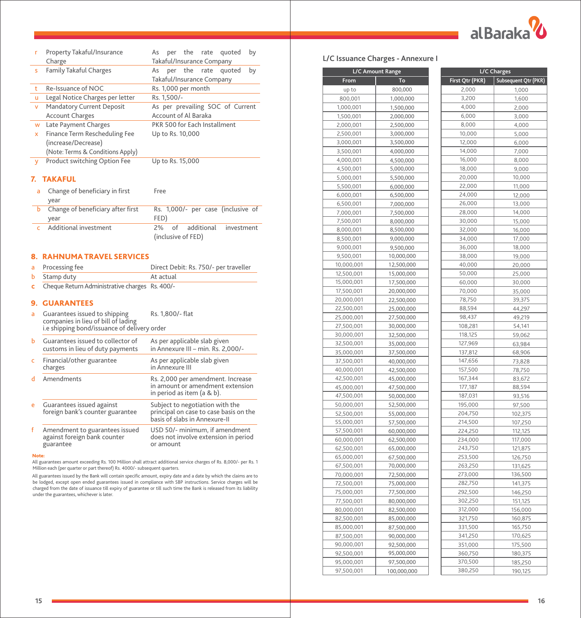

| r  | Property Takaful/Insurance<br>Charge | per the rate quoted<br>by<br>As<br>Takaful/Insurance Company |
|----|--------------------------------------|--------------------------------------------------------------|
| s  | <b>Family Takaful Charges</b>        | per the rate quoted<br>by<br>As                              |
|    |                                      | Takaful/Insurance Company                                    |
| t. | Re-Issuance of NOC                   | Rs. 1,000 per month                                          |
| u  | Legal Notice Charges per letter      | Rs. 1.500/-                                                  |
| v  | Mandatory Current Deposit            | As per prevailing SOC of Current                             |
|    | <b>Account Charges</b>               | Account of Al Baraka                                         |
| W  | Late Payment Charges                 | PKR 500 for Each Installment                                 |
| x  | Finance Term Rescheduling Fee        | Up to Rs. 10,000                                             |
|    | (increase/Decrease)                  |                                                              |
|    | (Note: Terms & Conditions Apply)     |                                                              |
| v  | Product switching Option Fee         | Up to Rs. 15,000                                             |

# 7. TAKAFUL

| a Change of beneficiary in first  | Free                               |
|-----------------------------------|------------------------------------|
| vear                              |                                    |
| Change of beneficiary after first | Rs. 1,000/- per case (inclusive of |
| vear                              | FED)                               |
| Additional investment             | 2% of additional<br>investment     |
|                                   | (inclusive of FED)                 |

# 8. RAHNUMA TRAVEL SERVICES

| a Processing fee    | Direct Debit: Rs. 750/- per traveller |
|---------------------|---------------------------------------|
| <b>b</b> Stamp duty | At actual                             |

c Cheque Return Administrative charges Rs. 400/-

## 9. GUARANTEES

| a | Guarantees issued to shipping<br>companies in lieu of bill of lading<br>i.e shipping bond/issuance of delivery order | Rs. 1,800/- flat                                                                                           |
|---|----------------------------------------------------------------------------------------------------------------------|------------------------------------------------------------------------------------------------------------|
| ь | Guarantees issued to collector of<br>customs in lieu of duty payments                                                | As per applicable slab given<br>in Annexure III - min. Rs. 2,000/-                                         |
| c | Financial/other guarantee<br>charges                                                                                 | As per applicable slab given<br>in Annexure III                                                            |
| d | Amendments                                                                                                           | Rs. 2,000 per amendment. Increase<br>in amount or amendment extension<br>in period as item (a & b).        |
| e | Guarantees issued against<br>foreign bank's counter guarantee                                                        | Subject to negotiation with the<br>principal on case to case basis on the<br>basis of slabs in Annexure-II |
| f | Amendment to guarantees issued<br>against foreign bank counter<br>guarantee                                          | USD 50/- minimum, if amendment<br>does not involve extension in period<br>or amount                        |

Note:

All guarantees amount exceeding Rs. 100 Million shall attract additional service charges of Rs. 8,000/- per Rs. 1 Million each (per quarter or part thereof) Rs. 4000/- subsequent quarters.

All guarantees issued by the Bank will contain specific amount, expiry date and a date by which the claims are to<br>be lodged, except open ended guarantees issued in compliance with SBP instructions. Service charges will be<br> under the guarantees, whichever is later.

|  |  |  |  | L/C Issuance Charges - Annexure I |  |
|--|--|--|--|-----------------------------------|--|
|--|--|--|--|-----------------------------------|--|

| L/C Amount Range |                        |  |
|------------------|------------------------|--|
| <b>From</b>      | To                     |  |
| up to            | 800,000                |  |
| 800,001          | 1,000,000              |  |
| 1,000,001        | 1,500,000              |  |
| 1,500,001        | 2,000,000              |  |
| 2,000,001        | 2,500,000              |  |
| 2,500,001        | 3,000,000              |  |
| 3,000,001        | 3,500,000              |  |
| 3,500,001        | 4,000,000              |  |
| 4,000,001        | 4,500,000              |  |
| 4,500,001        | 5,000,000              |  |
| 5,000,001        | 5,500,000              |  |
| 5,500,001        | 6,000,000              |  |
| 6,000,001        | 6,500,000              |  |
| 6,500,001        | 7,000,000              |  |
| 7,000,001        |                        |  |
| 7,500,001        | 7,500,000<br>8,000,000 |  |
| 8,000,001        |                        |  |
|                  | 8,500,000              |  |
| 8,500,001        | 9,000,000              |  |
| 9,000,001        | 9,500,000              |  |
| 9,500,001        | 10,000,000             |  |
| 10,000,001       | 12,500,000             |  |
| 12,500,001       | 15,000,000             |  |
| 15,000,001       | 17,500,000             |  |
| 17,500,001       | 20,000,000             |  |
| 20,000,001       | 22,500,000             |  |
| 22,500,001       | 25,000,000             |  |
| 25,000,001       | 27,500,000             |  |
| 27,500,001       | 30,000,000             |  |
| 30,000,001       | 32,500,000             |  |
| 32,500,001       | 35,000,000             |  |
| 35,000,001       | 37,500,000             |  |
| 37,500,001       | 40,000,000             |  |
| 40,000,001       | 42,500,000             |  |
| 42,500,001       | 45,000,000             |  |
| 45,000,001       | 47,500,000             |  |
| 47,500,001       | 50,000,000             |  |
| 50,000,001       | 52,500,000             |  |
| 52,500,001       | 55,000,000             |  |
| 55,000,001       | 57,500,000             |  |
| 57,500,001       | 60,000,000             |  |
| 60,000,001       | 62,500,000             |  |
| 62,500,001       | 65,000,000             |  |
| 65,000,001       | 67,500,000             |  |
| 67,500,001       | 70,000,000             |  |
| 70,000,001       | 72,500,000             |  |
| 72,500,001       | 75,000,000             |  |
| 75,000,001       | 77,500,000             |  |
| 77,500,001       | 80,000,000             |  |
| 80,000,001       | 82,500,000             |  |
| 82,500,001       | 85,000,000             |  |
| 85,000,001       |                        |  |
|                  | 87,500,000             |  |
| 87,500,001       | 90,000,000             |  |
| 90,000,001       | 92,500,000             |  |
| 92,500,001       | 95,000,000             |  |
| 95,000,001       | 97,500,000             |  |
| 97,500,001       | 100,000,000            |  |

| L/C Charges      |                                        |  |  |
|------------------|----------------------------------------|--|--|
|                  | First Qtr (PKR)   Subsequent Qtr (PKR) |  |  |
| 2,000            | 1,000                                  |  |  |
| 3,200            | 1,600                                  |  |  |
| 4,000            |                                        |  |  |
| 6,000            | 2,000                                  |  |  |
| 8,000            | 3,000                                  |  |  |
|                  | 4,000                                  |  |  |
| 10,000<br>12,000 | 5,000<br>6,000                         |  |  |
| 14,000           |                                        |  |  |
| 16,000           | 7,000<br>8,000                         |  |  |
| 18,000           | 9,000                                  |  |  |
| 20,000           | 10,000                                 |  |  |
| 22,000           | 11,000                                 |  |  |
| 24,000           | 12,000                                 |  |  |
| 26,000           |                                        |  |  |
| 28,000           | 13,000<br>14,000                       |  |  |
| 30,000           | 15,000                                 |  |  |
| 32,000           | 16,000                                 |  |  |
| 34,000           | 17,000                                 |  |  |
| 36,000           | 18,000                                 |  |  |
| 38,000           | 19,000                                 |  |  |
| 40,000           | 20,000                                 |  |  |
| 50,000           | 25,000                                 |  |  |
| 60,000           | 30,000                                 |  |  |
| 70,000           | 35,000                                 |  |  |
| 78,750           | 39,375                                 |  |  |
| 88,594           | 44,297                                 |  |  |
| 98,437           | 49,219                                 |  |  |
| 108,281          | 54,141                                 |  |  |
| 118,125          | 59,062                                 |  |  |
| 127,969          | 63,984                                 |  |  |
| 137,812          | 68,906                                 |  |  |
| 147,656          | 73,828                                 |  |  |
| 157,500          | 78,750                                 |  |  |
| 167,344          | 83,672                                 |  |  |
| 177,187          | 88,594                                 |  |  |
| 187,031          | 93,516                                 |  |  |
| 195,000          | 97,500                                 |  |  |
| 204,750          | 102,375                                |  |  |
| 214,500          | 107,250                                |  |  |
| 224,250          | 112,125                                |  |  |
| 234,000          | 117,000                                |  |  |
| 243,750          | 121,875                                |  |  |
| 253,500          | 126,750                                |  |  |
| 263,250          | 131,625                                |  |  |
| 273,000          | 136,500                                |  |  |
| 282,750          | 141,375                                |  |  |
| 292,500          | 146,250                                |  |  |
| 302,250          | 151,125                                |  |  |
| 312,000          | 156,000                                |  |  |
| 321,750          | 160,875                                |  |  |
| 331,500          | 165,750                                |  |  |
| 341,250          | 170,625                                |  |  |
| 351,000          | 175,500                                |  |  |
| 360,750          | 180,375                                |  |  |
| 370,500          | 185,250                                |  |  |
| 380,250          | 190,125                                |  |  |